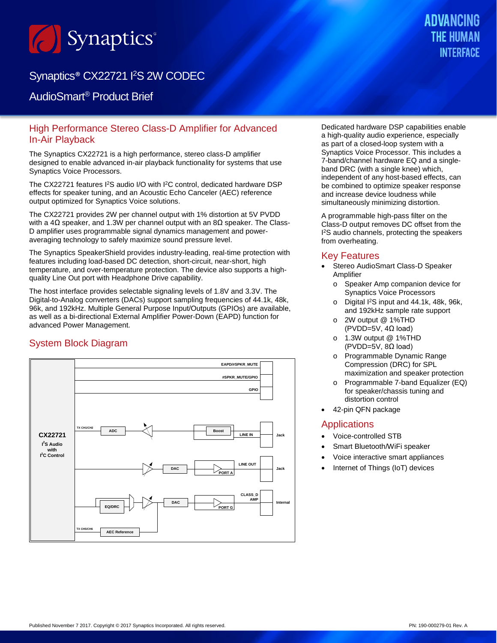

# Synaptics<sup>®</sup> CX22721 I<sup>2</sup>S 2W CODEC

# AudioSmart® Product Brief

### High Performance Stereo Class-D Amplifier for Advanced In-Air Playback

The Synaptics CX22721 is a high performance, stereo class-D amplifier designed to enable advanced in-air playback functionality for systems that use Synaptics Voice Processors.

The CX22721 features I<sup>2</sup>S audio I/O with I<sup>2</sup>C control, dedicated hardware DSP effects for speaker tuning, and an Acoustic Echo Canceler (AEC) reference output optimized for Synaptics Voice solutions.

The CX22721 provides 2W per channel output with 1% distortion at 5V PVDD with a 4Ω speaker, and 1.3W per channel output with an  $8Ω$  speaker. The Class-D amplifier uses programmable signal dynamics management and poweraveraging technology to safely maximize sound pressure level.

The Synaptics SpeakerShield provides industry-leading, real-time protection with features including load-based DC detection, short-circuit, near-short, high temperature, and over-temperature protection. The device also supports a highquality Line Out port with Headphone Drive capability.

The host interface provides selectable signaling levels of 1.8V and 3.3V. The Digital-to-Analog converters (DACs) support sampling frequencies of 44.1k, 48k, 96k, and 192kHz. Multiple General Purpose Input/Outputs (GPIOs) are available, as well as a bi-directional External Amplifier Power-Down (EAPD) function for advanced Power Management.

### System Block Diagram



**ADVANCING** INTERFACE

Dedicated hardware DSP capabilities enable a high-quality audio experience, especially as part of a closed-loop system with a Synaptics Voice Processor. This includes a 7-band/channel hardware EQ and a singleband DRC (with a single knee) which, independent of any host-based effects, can be combined to optimize speaker response and increase device loudness while simultaneously minimizing distortion.

A programmable high-pass filter on the Class-D output removes DC offset from the I 2S audio channels, protecting the speakers from overheating.

#### Key Features

- Stereo AudioSmart Class-D Speaker Amplifier
	- o Speaker Amp companion device for Synaptics Voice Processors
	- o Digital I2S input and 44.1k, 48k, 96k, and 192kHz sample rate support
	- o 2W output @ 1%THD (PVDD=5V, 4Ω load)
	- o 1.3W output @ 1%THD (PVDD=5V, 8Ω load)
	- o Programmable Dynamic Range Compression (DRC) for SPL maximization and speaker protection
	- o Programmable 7-band Equalizer (EQ) for speaker/chassis tuning and distortion control
- 42-pin QFN package

#### **Applications**

- Voice-controlled STB
- Smart Bluetooth/WiFi speaker
- Voice interactive smart appliances
- Internet of Things (IoT) devices